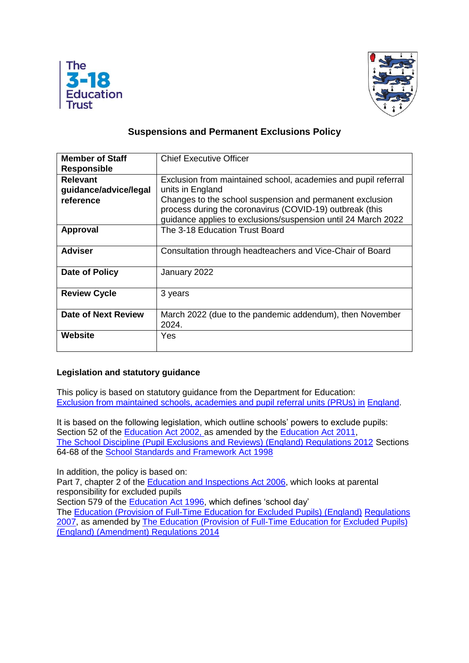



# **Suspensions and Permanent Exclusions Policy**

| <b>Member of Staff</b> | <b>Chief Executive Officer</b>                                    |
|------------------------|-------------------------------------------------------------------|
| <b>Responsible</b>     |                                                                   |
| <b>Relevant</b>        | Exclusion from maintained school, academies and pupil referral    |
| guidance/advice/legal  | units in England                                                  |
| reference              | Changes to the school suspension and permanent exclusion          |
|                        | process during the coronavirus (COVID-19) outbreak (this          |
|                        | guidance applies to exclusions/suspension until 24 March 2022     |
| <b>Approval</b>        | The 3-18 Education Trust Board                                    |
| <b>Adviser</b>         | Consultation through headteachers and Vice-Chair of Board         |
| Date of Policy         | January 2022                                                      |
| <b>Review Cycle</b>    | 3 years                                                           |
| Date of Next Review    | March 2022 (due to the pandemic addendum), then November<br>2024. |
| Website                | Yes                                                               |

## **Legislation and statutory guidance**

This policy is based on statutory guidance from the Department for Education: [Exclusion from maintained schools, academies and pupil](https://www.gov.uk/government/publications/school-exclusion) referral units (PRUs) in [England.](https://www.gov.uk/government/publications/school-exclusion)

It is based on the following legislation, which outline schools' powers to exclude pupils: Section 52 of the [Education Act 2002, a](http://www.legislation.gov.uk/ukpga/2002/32/section/52)s amended by the [Education Act 2011,](http://www.legislation.gov.uk/ukpga/2011/21/contents/enacted) [The School Discipline \(Pupil Exclusions and Reviews\) \(England\) Regulations 2012](http://www.legislation.gov.uk/uksi/2012/1033/made) Sections 64-68 of the [School Standards and Framework Act 1998](http://www.legislation.gov.uk/ukpga/1998/31)

In addition, the policy is based on:

Part 7, chapter 2 of the [Education and Inspections Act 2006,](http://www.legislation.gov.uk/ukpga/2006/40/part/7/chapter/2) which looks at parental responsibility for excluded pupils

Section 579 of the [Education Act 1996,](http://www.legislation.gov.uk/ukpga/1996/56/section/579) which defines 'school day'

The [Education \(Provision of Full-Time Education for Excluded Pupils\) \(England\)](http://www.legislation.gov.uk/uksi/2007/1870/contents/made) [Regulations](http://www.legislation.gov.uk/uksi/2007/1870/contents/made)  [2007,](http://www.legislation.gov.uk/uksi/2007/1870/contents/made) as amended by [The Education \(Provision of Full-Time Education for](http://www.legislation.gov.uk/uksi/2014/3216/contents/made) [Excluded Pupils\)](http://www.legislation.gov.uk/uksi/2014/3216/contents/made)  [\(England\) \(Amendment\) Regulations 2014](http://www.legislation.gov.uk/uksi/2014/3216/contents/made)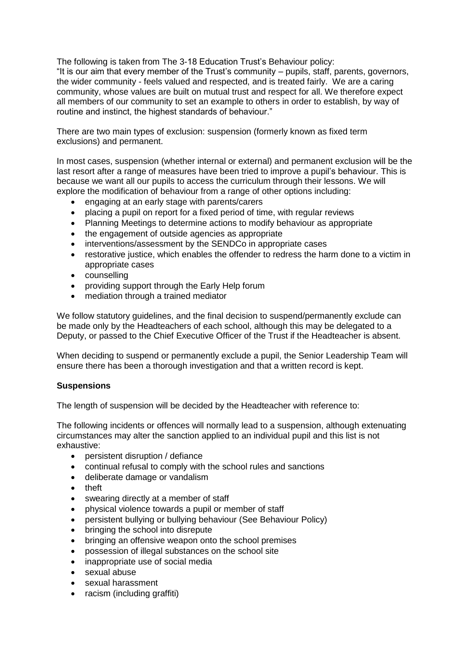The following is taken from The 3-18 Education Trust's Behaviour policy: "It is our aim that every member of the Trust's community – pupils, staff, parents, governors, the wider community - feels valued and respected, and is treated fairly. We are a caring community, whose values are built on mutual trust and respect for all. We therefore expect all members of our community to set an example to others in order to establish, by way of routine and instinct, the highest standards of behaviour."

There are two main types of exclusion: suspension (formerly known as fixed term exclusions) and permanent.

In most cases, suspension (whether internal or external) and permanent exclusion will be the last resort after a range of measures have been tried to improve a pupil's behaviour. This is because we want all our pupils to access the curriculum through their lessons. We will explore the modification of behaviour from a range of other options including:

- engaging at an early stage with parents/carers
- placing a pupil on report for a fixed period of time, with regular reviews
- Planning Meetings to determine actions to modify behaviour as appropriate
- the engagement of outside agencies as appropriate
- interventions/assessment by the SENDCo in appropriate cases
- restorative justice, which enables the offender to redress the harm done to a victim in appropriate cases
- counselling
- providing support through the Early Help forum
- mediation through a trained mediator

We follow statutory quidelines, and the final decision to suspend/permanently exclude can be made only by the Headteachers of each school, although this may be delegated to a Deputy, or passed to the Chief Executive Officer of the Trust if the Headteacher is absent.

When deciding to suspend or permanently exclude a pupil, the Senior Leadership Team will ensure there has been a thorough investigation and that a written record is kept.

## **Suspensions**

The length of suspension will be decided by the Headteacher with reference to:

The following incidents or offences will normally lead to a suspension, although extenuating circumstances may alter the sanction applied to an individual pupil and this list is not exhaustive:

- persistent disruption / defiance
- continual refusal to comply with the school rules and sanctions
- deliberate damage or vandalism
- theft
- swearing directly at a member of staff
- physical violence towards a pupil or member of staff
- persistent bullying or bullying behaviour (See Behaviour Policy)
- bringing the school into disrepute
- bringing an offensive weapon onto the school premises
- possession of illegal substances on the school site
- inappropriate use of social media
- sexual abuse
- sexual harassment
- racism (including graffiti)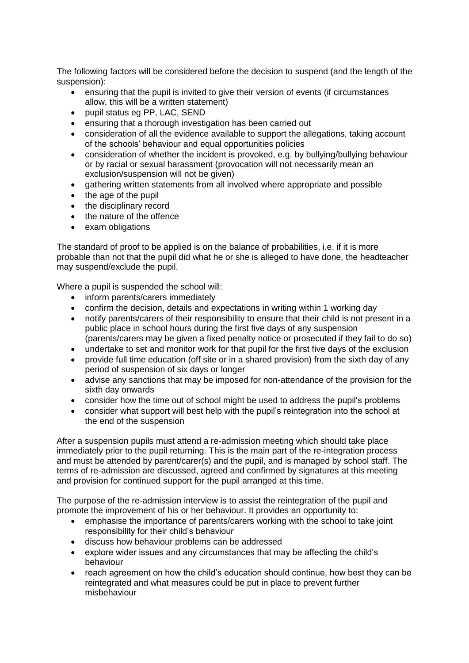The following factors will be considered before the decision to suspend (and the length of the suspension):

- ensuring that the pupil is invited to give their version of events (if circumstances allow, this will be a written statement)
- pupil status eg PP, LAC, SEND
- ensuring that a thorough investigation has been carried out
- consideration of all the evidence available to support the allegations, taking account of the schools' behaviour and equal opportunities policies
- consideration of whether the incident is provoked, e.g. by bullying/bullying behaviour or by racial or sexual harassment (provocation will not necessarily mean an exclusion/suspension will not be given)
- gathering written statements from all involved where appropriate and possible
- the age of the pupil
- the disciplinary record
- the nature of the offence
- exam obligations

The standard of proof to be applied is on the balance of probabilities, i.e. if it is more probable than not that the pupil did what he or she is alleged to have done, the headteacher may suspend/exclude the pupil.

Where a pupil is suspended the school will:

- inform parents/carers immediately
- confirm the decision, details and expectations in writing within 1 working day
- notify parents/carers of their responsibility to ensure that their child is not present in a public place in school hours during the first five days of any suspension (parents/carers may be given a fixed penalty notice or prosecuted if they fail to do so)
- undertake to set and monitor work for that pupil for the first five days of the exclusion
- provide full time education (off site or in a shared provision) from the sixth day of any period of suspension of six days or longer
- advise any sanctions that may be imposed for non-attendance of the provision for the sixth day onwards
- consider how the time out of school might be used to address the pupil's problems
- consider what support will best help with the pupil's reintegration into the school at the end of the suspension

After a suspension pupils must attend a re-admission meeting which should take place immediately prior to the pupil returning. This is the main part of the re-integration process and must be attended by parent/carer(s) and the pupil, and is managed by school staff. The terms of re-admission are discussed, agreed and confirmed by signatures at this meeting and provision for continued support for the pupil arranged at this time.

The purpose of the re-admission interview is to assist the reintegration of the pupil and promote the improvement of his or her behaviour. It provides an opportunity to:

- emphasise the importance of parents/carers working with the school to take joint responsibility for their child's behaviour
- discuss how behaviour problems can be addressed
- explore wider issues and any circumstances that may be affecting the child's behaviour
- reach agreement on how the child's education should continue, how best they can be reintegrated and what measures could be put in place to prevent further misbehaviour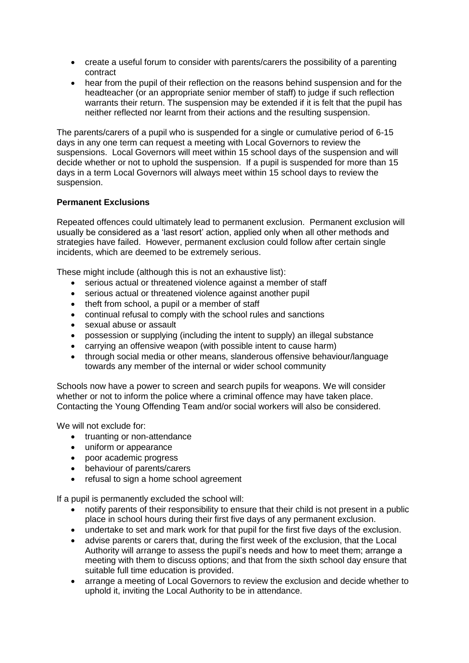- create a useful forum to consider with parents/carers the possibility of a parenting contract
- hear from the pupil of their reflection on the reasons behind suspension and for the headteacher (or an appropriate senior member of staff) to judge if such reflection warrants their return. The suspension may be extended if it is felt that the pupil has neither reflected nor learnt from their actions and the resulting suspension.

The parents/carers of a pupil who is suspended for a single or cumulative period of 6-15 days in any one term can request a meeting with Local Governors to review the suspensions. Local Governors will meet within 15 school days of the suspension and will decide whether or not to uphold the suspension. If a pupil is suspended for more than 15 days in a term Local Governors will always meet within 15 school days to review the suspension.

## **Permanent Exclusions**

Repeated offences could ultimately lead to permanent exclusion. Permanent exclusion will usually be considered as a 'last resort' action, applied only when all other methods and strategies have failed. However, permanent exclusion could follow after certain single incidents, which are deemed to be extremely serious.

These might include (although this is not an exhaustive list):

- serious actual or threatened violence against a member of staff
- serious actual or threatened violence against another pupil
- theft from school, a pupil or a member of staff
- continual refusal to comply with the school rules and sanctions
- sexual abuse or assault
- possession or supplying (including the intent to supply) an illegal substance
- carrying an offensive weapon (with possible intent to cause harm)
- through social media or other means, slanderous offensive behaviour/language towards any member of the internal or wider school community

Schools now have a power to screen and search pupils for weapons. We will consider whether or not to inform the police where a criminal offence may have taken place. Contacting the Young Offending Team and/or social workers will also be considered.

We will not exclude for:

- truanting or non-attendance
- uniform or appearance
- poor academic progress
- behaviour of parents/carers
- refusal to sign a home school agreement

If a pupil is permanently excluded the school will:

- notify parents of their responsibility to ensure that their child is not present in a public place in school hours during their first five days of any permanent exclusion.
- undertake to set and mark work for that pupil for the first five days of the exclusion.
- advise parents or carers that, during the first week of the exclusion, that the Local Authority will arrange to assess the pupil's needs and how to meet them; arrange a meeting with them to discuss options; and that from the sixth school day ensure that suitable full time education is provided.
- arrange a meeting of Local Governors to review the exclusion and decide whether to uphold it, inviting the Local Authority to be in attendance.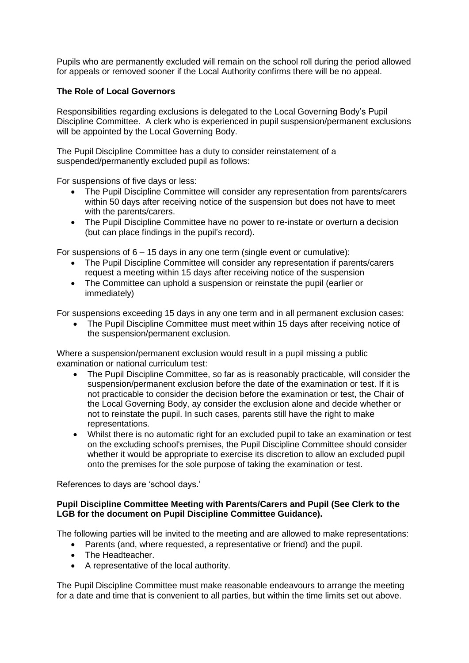Pupils who are permanently excluded will remain on the school roll during the period allowed for appeals or removed sooner if the Local Authority confirms there will be no appeal.

## **The Role of Local Governors**

Responsibilities regarding exclusions is delegated to the Local Governing Body's Pupil Discipline Committee. A clerk who is experienced in pupil suspension/permanent exclusions will be appointed by the Local Governing Body.

The Pupil Discipline Committee has a duty to consider reinstatement of a suspended/permanently excluded pupil as follows:

For suspensions of five days or less:

- The Pupil Discipline Committee will consider any representation from parents/carers within 50 days after receiving notice of the suspension but does not have to meet with the parents/carers.
- The Pupil Discipline Committee have no power to re-instate or overturn a decision (but can place findings in the pupil's record).

For suspensions of  $6 - 15$  days in any one term (single event or cumulative):

- The Pupil Discipline Committee will consider any representation if parents/carers request a meeting within 15 days after receiving notice of the suspension
- The Committee can uphold a suspension or reinstate the pupil (earlier or immediately)

For suspensions exceeding 15 days in any one term and in all permanent exclusion cases:

 The Pupil Discipline Committee must meet within 15 days after receiving notice of the suspension/permanent exclusion.

Where a suspension/permanent exclusion would result in a pupil missing a public examination or national curriculum test:

- The Pupil Discipline Committee, so far as is reasonably practicable, will consider the suspension/permanent exclusion before the date of the examination or test. If it is not practicable to consider the decision before the examination or test, the Chair of the Local Governing Body, ay consider the exclusion alone and decide whether or not to reinstate the pupil. In such cases, parents still have the right to make representations.
- Whilst there is no automatic right for an excluded pupil to take an examination or test on the excluding school's premises, the Pupil Discipline Committee should consider whether it would be appropriate to exercise its discretion to allow an excluded pupil onto the premises for the sole purpose of taking the examination or test.

References to days are 'school days.'

## **Pupil Discipline Committee Meeting with Parents/Carers and Pupil (See Clerk to the LGB for the document on Pupil Discipline Committee Guidance).**

The following parties will be invited to the meeting and are allowed to make representations:

- Parents (and, where requested, a representative or friend) and the pupil.
- The Headteacher.
- A representative of the local authority.

The Pupil Discipline Committee must make reasonable endeavours to arrange the meeting for a date and time that is convenient to all parties, but within the time limits set out above.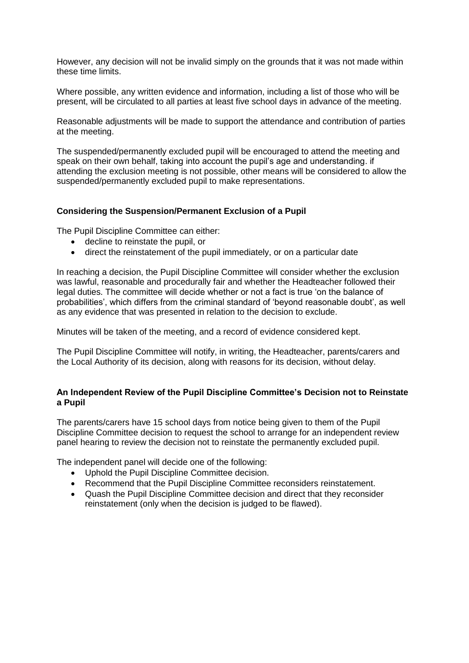However, any decision will not be invalid simply on the grounds that it was not made within these time limits.

Where possible, any written evidence and information, including a list of those who will be present, will be circulated to all parties at least five school days in advance of the meeting.

Reasonable adjustments will be made to support the attendance and contribution of parties at the meeting.

The suspended/permanently excluded pupil will be encouraged to attend the meeting and speak on their own behalf, taking into account the pupil's age and understanding. if attending the exclusion meeting is not possible, other means will be considered to allow the suspended/permanently excluded pupil to make representations.

#### **Considering the Suspension/Permanent Exclusion of a Pupil**

The Pupil Discipline Committee can either:

- decline to reinstate the pupil, or
- direct the reinstatement of the pupil immediately, or on a particular date

In reaching a decision, the Pupil Discipline Committee will consider whether the exclusion was lawful, reasonable and procedurally fair and whether the Headteacher followed their legal duties. The committee will decide whether or not a fact is true 'on the balance of probabilities', which differs from the criminal standard of 'beyond reasonable doubt', as well as any evidence that was presented in relation to the decision to exclude.

Minutes will be taken of the meeting, and a record of evidence considered kept.

The Pupil Discipline Committee will notify, in writing, the Headteacher, parents/carers and the Local Authority of its decision, along with reasons for its decision, without delay.

#### **An Independent Review of the Pupil Discipline Committee's Decision not to Reinstate a Pupil**

The parents/carers have 15 school days from notice being given to them of the Pupil Discipline Committee decision to request the school to arrange for an independent review panel hearing to review the decision not to reinstate the permanently excluded pupil.

The independent panel will decide one of the following:

- Uphold the Pupil Discipline Committee decision.
- Recommend that the Pupil Discipline Committee reconsiders reinstatement.
- Quash the Pupil Discipline Committee decision and direct that they reconsider reinstatement (only when the decision is judged to be flawed).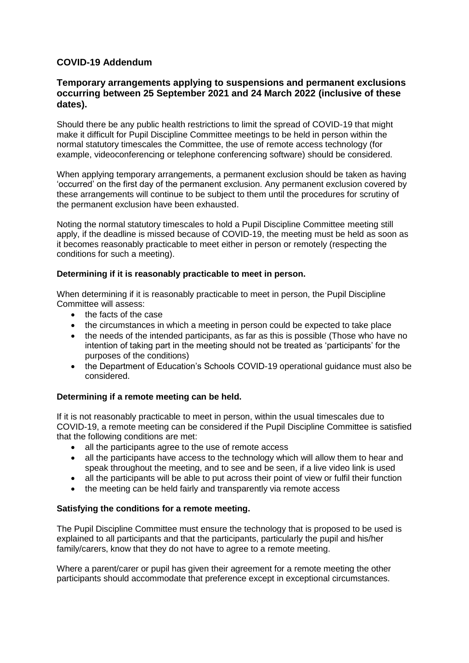## **COVID-19 Addendum**

## **Temporary arrangements applying to suspensions and permanent exclusions occurring between 25 September 2021 and 24 March 2022 (inclusive of these dates).**

Should there be any public health restrictions to limit the spread of COVID-19 that might make it difficult for Pupil Discipline Committee meetings to be held in person within the normal statutory timescales the Committee, the use of remote access technology (for example, videoconferencing or telephone conferencing software) should be considered.

When applying temporary arrangements, a permanent exclusion should be taken as having 'occurred' on the first day of the permanent exclusion. Any permanent exclusion covered by these arrangements will continue to be subject to them until the procedures for scrutiny of the permanent exclusion have been exhausted.

Noting the normal statutory timescales to hold a Pupil Discipline Committee meeting still apply, if the deadline is missed because of COVID-19, the meeting must be held as soon as it becomes reasonably practicable to meet either in person or remotely (respecting the conditions for such a meeting).

## **Determining if it is reasonably practicable to meet in person.**

When determining if it is reasonably practicable to meet in person, the Pupil Discipline Committee will assess:

- the facts of the case
- the circumstances in which a meeting in person could be expected to take place
- the needs of the intended participants, as far as this is possible (Those who have no intention of taking part in the meeting should not be treated as 'participants' for the purposes of the conditions)
- the Department of Education's Schools COVID-19 operational guidance must also be considered.

## **Determining if a remote meeting can be held.**

If it is not reasonably practicable to meet in person, within the usual timescales due to COVID-19, a remote meeting can be considered if the Pupil Discipline Committee is satisfied that the following conditions are met:

- all the participants agree to the use of remote access
- all the participants have access to the technology which will allow them to hear and speak throughout the meeting, and to see and be seen, if a live video link is used
- all the participants will be able to put across their point of view or fulfil their function
- the meeting can be held fairly and transparently via remote access

## **Satisfying the conditions for a remote meeting.**

The Pupil Discipline Committee must ensure the technology that is proposed to be used is explained to all participants and that the participants, particularly the pupil and his/her family/carers, know that they do not have to agree to a remote meeting.

Where a parent/carer or pupil has given their agreement for a remote meeting the other participants should accommodate that preference except in exceptional circumstances.